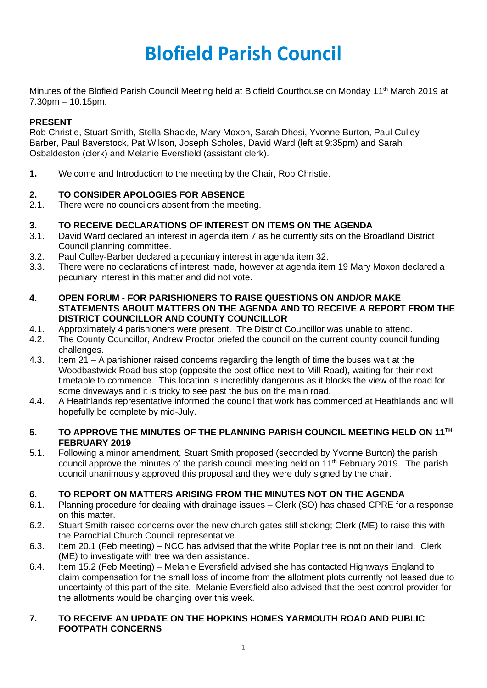# **Blofield Parish Council**

Minutes of the Blofield Parish Council Meeting held at Blofield Courthouse on Monday 11<sup>th</sup> March 2019 at 7.30pm – 10.15pm.

# **PRESENT**

Rob Christie, Stuart Smith, Stella Shackle, Mary Moxon, Sarah Dhesi, Yvonne Burton, Paul Culley-Barber, Paul Baverstock, Pat Wilson, Joseph Scholes, David Ward (left at 9:35pm) and Sarah Osbaldeston (clerk) and Melanie Eversfield (assistant clerk).

**1.** Welcome and Introduction to the meeting by the Chair, Rob Christie.

# **2. TO CONSIDER APOLOGIES FOR ABSENCE**

2.1. There were no councilors absent from the meeting.

# **3. TO RECEIVE DECLARATIONS OF INTEREST ON ITEMS ON THE AGENDA**

- 3.1. David Ward declared an interest in agenda item 7 as he currently sits on the Broadland District Council planning committee.
- 3.2. Paul Culley-Barber declared a pecuniary interest in agenda item 32.
- 3.3. There were no declarations of interest made, however at agenda item 19 Mary Moxon declared a pecuniary interest in this matter and did not vote.

#### **4. OPEN FORUM - FOR PARISHIONERS TO RAISE QUESTIONS ON AND/OR MAKE STATEMENTS ABOUT MATTERS ON THE AGENDA AND TO RECEIVE A REPORT FROM THE DISTRICT COUNCILLOR AND COUNTY COUNCILLOR**

- 4.1. Approximately 4 parishioners were present. The District Councillor was unable to attend.
- 4.2. The County Councillor, Andrew Proctor briefed the council on the current county council funding challenges.
- 4.3. Item 21 A parishioner raised concerns regarding the length of time the buses wait at the Woodbastwick Road bus stop (opposite the post office next to Mill Road), waiting for their next timetable to commence. This location is incredibly dangerous as it blocks the view of the road for some driveways and it is tricky to see past the bus on the main road.
- 4.4. A Heathlands representative informed the council that work has commenced at Heathlands and will hopefully be complete by mid-July.

#### **5. TO APPROVE THE MINUTES OF THE PLANNING PARISH COUNCIL MEETING HELD ON 11 TH FEBRUARY 2019**

5.1. Following a minor amendment, Stuart Smith proposed (seconded by Yvonne Burton) the parish council approve the minutes of the parish council meeting held on 11<sup>th</sup> February 2019. The parish council unanimously approved this proposal and they were duly signed by the chair.

#### **6. TO REPORT ON MATTERS ARISING FROM THE MINUTES NOT ON THE AGENDA**

- 6.1. Planning procedure for dealing with drainage issues Clerk (SO) has chased CPRE for a response on this matter.
- 6.2. Stuart Smith raised concerns over the new church gates still sticking; Clerk (ME) to raise this with the Parochial Church Council representative.
- 6.3. Item 20.1 (Feb meeting) NCC has advised that the white Poplar tree is not on their land. Clerk (ME) to investigate with tree warden assistance.
- 6.4. Item 15.2 (Feb Meeting) Melanie Eversfield advised she has contacted Highways England to claim compensation for the small loss of income from the allotment plots currently not leased due to uncertainty of this part of the site. Melanie Eversfield also advised that the pest control provider for the allotments would be changing over this week.

#### **7. TO RECEIVE AN UPDATE ON THE HOPKINS HOMES YARMOUTH ROAD AND PUBLIC FOOTPATH CONCERNS**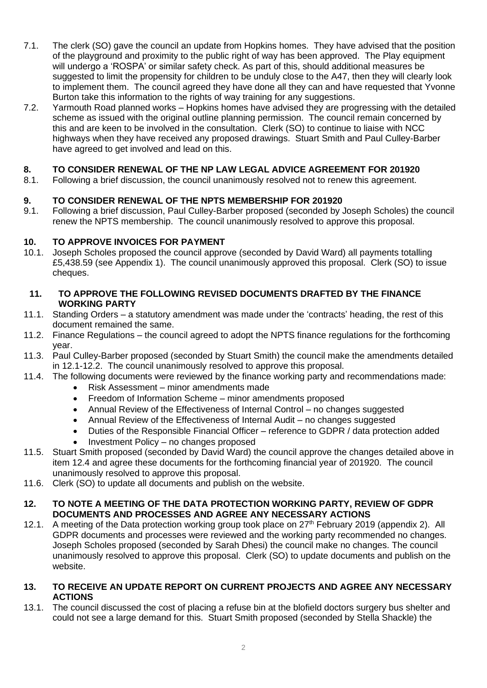- 7.1. The clerk (SO) gave the council an update from Hopkins homes. They have advised that the position of the playground and proximity to the public right of way has been approved. The Play equipment will undergo a 'ROSPA' or similar safety check. As part of this, should additional measures be suggested to limit the propensity for children to be unduly close to the A47, then they will clearly look to implement them. The council agreed they have done all they can and have requested that Yvonne Burton take this information to the rights of way training for any suggestions.
- 7.2. Yarmouth Road planned works Hopkins homes have advised they are progressing with the detailed scheme as issued with the original outline planning permission. The council remain concerned by this and are keen to be involved in the consultation. Clerk (SO) to continue to liaise with NCC highways when they have received any proposed drawings. Stuart Smith and Paul Culley-Barber have agreed to get involved and lead on this.

# **8. TO CONSIDER RENEWAL OF THE NP LAW LEGAL ADVICE AGREEMENT FOR 201920**

8.1. Following a brief discussion, the council unanimously resolved not to renew this agreement.

# **9. TO CONSIDER RENEWAL OF THE NPTS MEMBERSHIP FOR 201920**<br>9.1. Following a brief discussion. Paul Culley-Barber proposed (seconded by .

9.1. Following a brief discussion, Paul Culley-Barber proposed (seconded by Joseph Scholes) the council renew the NPTS membership. The council unanimously resolved to approve this proposal.

# **10. TO APPROVE INVOICES FOR PAYMENT**

10.1. Joseph Scholes proposed the council approve (seconded by David Ward) all payments totalling £5,438.59 (see Appendix 1). The council unanimously approved this proposal. Clerk (SO) to issue cheques.

#### **11. TO APPROVE THE FOLLOWING REVISED DOCUMENTS DRAFTED BY THE FINANCE WORKING PARTY**

- 11.1. Standing Orders a statutory amendment was made under the 'contracts' heading, the rest of this document remained the same.
- 11.2. Finance Regulations the council agreed to adopt the NPTS finance regulations for the forthcoming year.
- 11.3. Paul Culley-Barber proposed (seconded by Stuart Smith) the council make the amendments detailed in 12.1-12.2. The council unanimously resolved to approve this proposal.
- 11.4. The following documents were reviewed by the finance working party and recommendations made:
	- Risk Assessment minor amendments made
	- Freedom of Information Scheme minor amendments proposed
	- Annual Review of the Effectiveness of Internal Control no changes suggested
	- Annual Review of the Effectiveness of Internal Audit no changes suggested
	- Duties of the Responsible Financial Officer reference to GDPR / data protection added
	- Investment Policy no changes proposed
- 11.5. Stuart Smith proposed (seconded by David Ward) the council approve the changes detailed above in item 12.4 and agree these documents for the forthcoming financial year of 201920. The council unanimously resolved to approve this proposal.
- 11.6. Clerk (SO) to update all documents and publish on the website.

#### **12. TO NOTE A MEETING OF THE DATA PROTECTION WORKING PARTY, REVIEW OF GDPR DOCUMENTS AND PROCESSES AND AGREE ANY NECESSARY ACTIONS**

12.1. A meeting of the Data protection working group took place on 27<sup>th</sup> February 2019 (appendix 2). All GDPR documents and processes were reviewed and the working party recommended no changes. Joseph Scholes proposed (seconded by Sarah Dhesi) the council make no changes. The council unanimously resolved to approve this proposal. Clerk (SO) to update documents and publish on the website.

# **13. TO RECEIVE AN UPDATE REPORT ON CURRENT PROJECTS AND AGREE ANY NECESSARY ACTIONS**

13.1. The council discussed the cost of placing a refuse bin at the blofield doctors surgery bus shelter and could not see a large demand for this. Stuart Smith proposed (seconded by Stella Shackle) the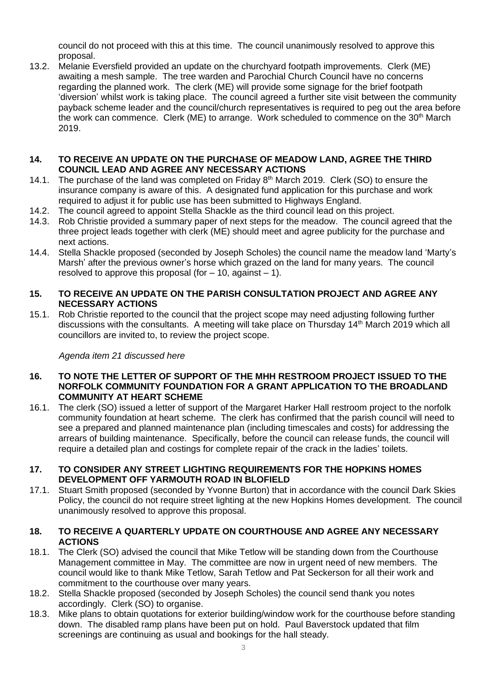council do not proceed with this at this time. The council unanimously resolved to approve this proposal.

13.2. Melanie Eversfield provided an update on the churchyard footpath improvements. Clerk (ME) awaiting a mesh sample. The tree warden and Parochial Church Council have no concerns regarding the planned work. The clerk (ME) will provide some signage for the brief footpath 'diversion' whilst work is taking place. The council agreed a further site visit between the community payback scheme leader and the council/church representatives is required to peg out the area before the work can commence. Clerk (ME) to arrange. Work scheduled to commence on the 30<sup>th</sup> March 2019.

#### **14. TO RECEIVE AN UPDATE ON THE PURCHASE OF MEADOW LAND, AGREE THE THIRD COUNCIL LEAD AND AGREE ANY NECESSARY ACTIONS**

- 14.1. The purchase of the land was completed on Friday  $8<sup>th</sup>$  March 2019. Clerk (SO) to ensure the insurance company is aware of this. A designated fund application for this purchase and work required to adjust it for public use has been submitted to Highways England.
- 14.2. The council agreed to appoint Stella Shackle as the third council lead on this project.
- 14.3. Rob Christie provided a summary paper of next steps for the meadow. The council agreed that the three project leads together with clerk (ME) should meet and agree publicity for the purchase and next actions.
- 14.4. Stella Shackle proposed (seconded by Joseph Scholes) the council name the meadow land 'Marty's Marsh' after the previous owner's horse which grazed on the land for many years. The council resolved to approve this proposal (for  $-10$ , against  $-1$ ).

# **15. TO RECEIVE AN UPDATE ON THE PARISH CONSULTATION PROJECT AND AGREE ANY NECESSARY ACTIONS**

15.1. Rob Christie reported to the council that the project scope may need adjusting following further discussions with the consultants. A meeting will take place on Thursday 14<sup>th</sup> March 2019 which all councillors are invited to, to review the project scope.

#### *Agenda item 21 discussed here*

#### **16. TO NOTE THE LETTER OF SUPPORT OF THE MHH RESTROOM PROJECT ISSUED TO THE NORFOLK COMMUNITY FOUNDATION FOR A GRANT APPLICATION TO THE BROADLAND COMMUNITY AT HEART SCHEME**

16.1. The clerk (SO) issued a letter of support of the Margaret Harker Hall restroom project to the norfolk community foundation at heart scheme. The clerk has confirmed that the parish council will need to see a prepared and planned maintenance plan (including timescales and costs) for addressing the arrears of building maintenance. Specifically, before the council can release funds, the council will require a detailed plan and costings for complete repair of the crack in the ladies' toilets.

#### **17. TO CONSIDER ANY STREET LIGHTING REQUIREMENTS FOR THE HOPKINS HOMES DEVELOPMENT OFF YARMOUTH ROAD IN BLOFIELD**

17.1. Stuart Smith proposed (seconded by Yvonne Burton) that in accordance with the council Dark Skies Policy, the council do not require street lighting at the new Hopkins Homes development. The council unanimously resolved to approve this proposal.

#### **18. TO RECEIVE A QUARTERLY UPDATE ON COURTHOUSE AND AGREE ANY NECESSARY ACTIONS**

- 18.1. The Clerk (SO) advised the council that Mike Tetlow will be standing down from the Courthouse Management committee in May. The committee are now in urgent need of new members. The council would like to thank Mike Tetlow, Sarah Tetlow and Pat Seckerson for all their work and commitment to the courthouse over many years.
- 18.2. Stella Shackle proposed (seconded by Joseph Scholes) the council send thank you notes accordingly. Clerk (SO) to organise.
- 18.3. Mike plans to obtain quotations for exterior building/window work for the courthouse before standing down. The disabled ramp plans have been put on hold. Paul Baverstock updated that film screenings are continuing as usual and bookings for the hall steady.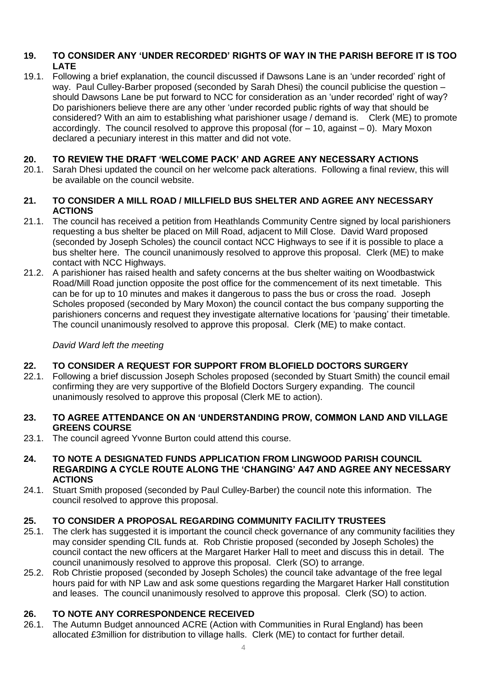# **19. TO CONSIDER ANY 'UNDER RECORDED' RIGHTS OF WAY IN THE PARISH BEFORE IT IS TOO LATE**

19.1. Following a brief explanation, the council discussed if Dawsons Lane is an 'under recorded' right of way. Paul Culley-Barber proposed (seconded by Sarah Dhesi) the council publicise the question – should Dawsons Lane be put forward to NCC for consideration as an 'under recorded' right of way? Do parishioners believe there are any other 'under recorded public rights of way that should be considered? With an aim to establishing what parishioner usage / demand is. Clerk (ME) to promote accordingly. The council resolved to approve this proposal (for  $-10$ , against  $-0$ ). Mary Moxon declared a pecuniary interest in this matter and did not vote.

# **20. TO REVIEW THE DRAFT 'WELCOME PACK' AND AGREE ANY NECESSARY ACTIONS**

20.1. Sarah Dhesi updated the council on her welcome pack alterations. Following a final review, this will be available on the council website.

### **21. TO CONSIDER A MILL ROAD / MILLFIELD BUS SHELTER AND AGREE ANY NECESSARY ACTIONS**

- 21.1. The council has received a petition from Heathlands Community Centre signed by local parishioners requesting a bus shelter be placed on Mill Road, adjacent to Mill Close. David Ward proposed (seconded by Joseph Scholes) the council contact NCC Highways to see if it is possible to place a bus shelter here. The council unanimously resolved to approve this proposal. Clerk (ME) to make contact with NCC Highways.
- 21.2. A parishioner has raised health and safety concerns at the bus shelter waiting on Woodbastwick Road/Mill Road junction opposite the post office for the commencement of its next timetable. This can be for up to 10 minutes and makes it dangerous to pass the bus or cross the road. Joseph Scholes proposed (seconded by Mary Moxon) the council contact the bus company supporting the parishioners concerns and request they investigate alternative locations for 'pausing' their timetable. The council unanimously resolved to approve this proposal. Clerk (ME) to make contact.

### *David Ward left the meeting*

# **22. TO CONSIDER A REQUEST FOR SUPPORT FROM BLOFIELD DOCTORS SURGERY**

22.1. Following a brief discussion Joseph Scholes proposed (seconded by Stuart Smith) the council email confirming they are very supportive of the Blofield Doctors Surgery expanding. The council unanimously resolved to approve this proposal (Clerk ME to action).

#### **23. TO AGREE ATTENDANCE ON AN 'UNDERSTANDING PROW, COMMON LAND AND VILLAGE GREENS COURSE**

- 23.1. The council agreed Yvonne Burton could attend this course.
- **24. TO NOTE A DESIGNATED FUNDS APPLICATION FROM LINGWOOD PARISH COUNCIL REGARDING A CYCLE ROUTE ALONG THE 'CHANGING' A47 AND AGREE ANY NECESSARY ACTIONS**
- 24.1. Stuart Smith proposed (seconded by Paul Culley-Barber) the council note this information. The council resolved to approve this proposal.

# **25. TO CONSIDER A PROPOSAL REGARDING COMMUNITY FACILITY TRUSTEES**

- 25.1. The clerk has suggested it is important the council check governance of any community facilities they may consider spending CIL funds at. Rob Christie proposed (seconded by Joseph Scholes) the council contact the new officers at the Margaret Harker Hall to meet and discuss this in detail. The council unanimously resolved to approve this proposal. Clerk (SO) to arrange.
- 25.2. Rob Christie proposed (seconded by Joseph Scholes) the council take advantage of the free legal hours paid for with NP Law and ask some questions regarding the Margaret Harker Hall constitution and leases. The council unanimously resolved to approve this proposal. Clerk (SO) to action.

# **26. TO NOTE ANY CORRESPONDENCE RECEIVED**

26.1. The Autumn Budget announced ACRE (Action with Communities in Rural England) has been allocated £3million for distribution to village halls. Clerk (ME) to contact for further detail.